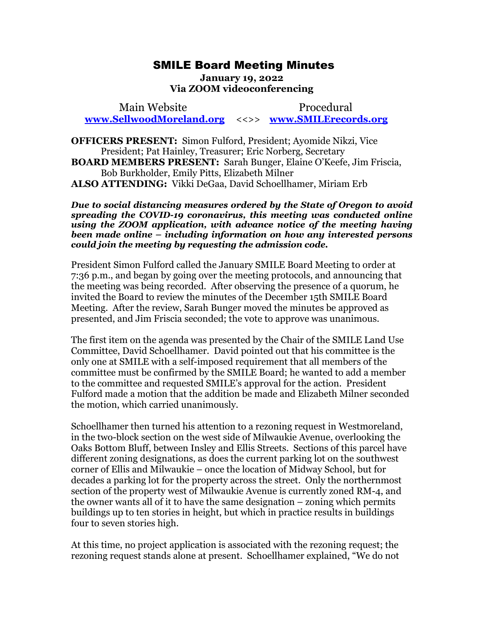## SMILE Board Meeting Minutes SMILE Board Meeting Minutes

January 19, 2022 **January 19, 2022**  Via ZOOM videoconferencing **Via ZOOM videoconferencing** 

Main Website Procedural Main Website Procedural [www.SellwoodMoreland.org](http://www.sellwoodmoreland.org/) <<>> [www.SMILErecords.org](http://www.smilerecords.org/)  **www.SellwoodMoreland.org** <<>> **www.SMILErecords.org**

OFFICERS PRESENT: Simon Fulford, President; Ayomide Nikzi, Vice **OFFICERS PRESENT:** Simon Fulford, President; Ayomide Nikzi, Vice President; Pat Hainley, Treasurer; Eric Norberg, Secretary President; Pat Hainley, Treasurer; Eric Norberg, Secretary BOARD MEMBERS PRESENT: Sarah Bunger, Elaine O'Keefe, Jim Friscia, **BOARD MEMBERS PRESENT:** Sarah Bunger, Elaine O'Keefe, Jim Friscia, Bob Burkholder, Emily Pitts, Elizabeth Milner Bob Burkholder, Emily Pitts, Elizabeth Milner ALSO ATTENDING: Vikki DeGaa, David Schoellhamer, Miriam Erb **ALSO ATTENDING:** Vikki DeGaa, David Schoellhamer, Miriam Erb

Due to social distancing measures ordered by the State of Oregon to avoid *Due to social distancing measures ordered by the State of Oregon to avoid*  spreading the COVID-19 coronavirus, this meeting was conducted online using the ZOOM application, with advance notice of the meeting having been made online  $\frac{1}{2}$  including information on how any interested persons could join the meeting by requesting the admission code. spreading the COVID-19 coronavirus, this meeting was conducted online<br>using the ZOOM application, with advance notice of the meeting having<br>been made online – including information on how any interested persons<br>could join

President Simon Fulford called the January SMILE Board Meeting to order at President Simon Fulford called the January SMILE Board Meeting to order at<br>7:36 p.m., and began by going over the meeting protocols, and announcing that the meeting was being recorded. After observing the presence of a quorum, he<br>invited the Board to review the minutes of the December 15th SMILE Board<br>Meeting. After the review, Sarah Bunger moved the minutes be approved as invited the Board to review the minutes of the December 15th SMILE Board Meeting. After the review, Sarah Bunger moved the minutes be approved as presented, and Jim Friscia seconded; the vote to approve was unanimous. presented, and Jim Friscia seconded; the vote to approve was unanimous.

The first item on the agenda was presented by the Chair of the SMILE Land Use The first item on the agenda was presented by the Chair of the SMILE Land Use Committee, David Schoellhamer. David pointed out that his committee is the only one at SMILE with a self-imposed requirement that all members of the Committee, David Schoellhamer. David pointed out that his committee is the<br>only one at SMILE with a self-imposed requirement that all members of the<br>committee must be confirmed by the SMILE Board; he wanted to add a member to the committee and requested SMILE's approval for the action. President Fulford made a motion that the addition be made and Elizabeth Milner seconded the motion, which carried unanimously. to the committee and requested SMILE's approval for the action. President<br>Fulford made a motion that the addition be made and Elizabeth Milner seconded<br>the motion, which carried unanimously.<br>Schoellhamer then turned his at

Schoellhamer then turned his attention to a rezoning request in Westmoreland, in the two-block section on the west side of Milwaukie Avenue, overlooking the Oaks Bottom Bluff, between Insley and Ellis Streets. Sections of this parcel have Oaks Bottom Bluff, between Insley and Ellis Streets. Sections of this parcel have<br>different zoning designations, as does the current parking lot on the southwest corner of Ellis and Milwaukie - once the location of Midway School, but for decades a parking lot for the property across the street. Only the northernmost section of the property west of Milwaukie Avenue is currently zoned RM-4, and the owner wants all of it to have the same designation — zoning which permits buildings up to ten stories in height, but which in practice results in buildings four to seven stories high. four to seven stories high. decades a parking lot for the property across the street. Only the northernmost<br>section of the property west of Milwaukie Avenue is currently zoned RM-4, and<br>the owner wants all of it to have the same designation – zoning

At this time, no project application is associated with the rezoning request; the At this time, no project application is associated with the rezoning request; the rezoning request stands alone at present. Schoellhamer explained, "We do not rezoning request stands alone at present. Schoellhamer explained, "We do not